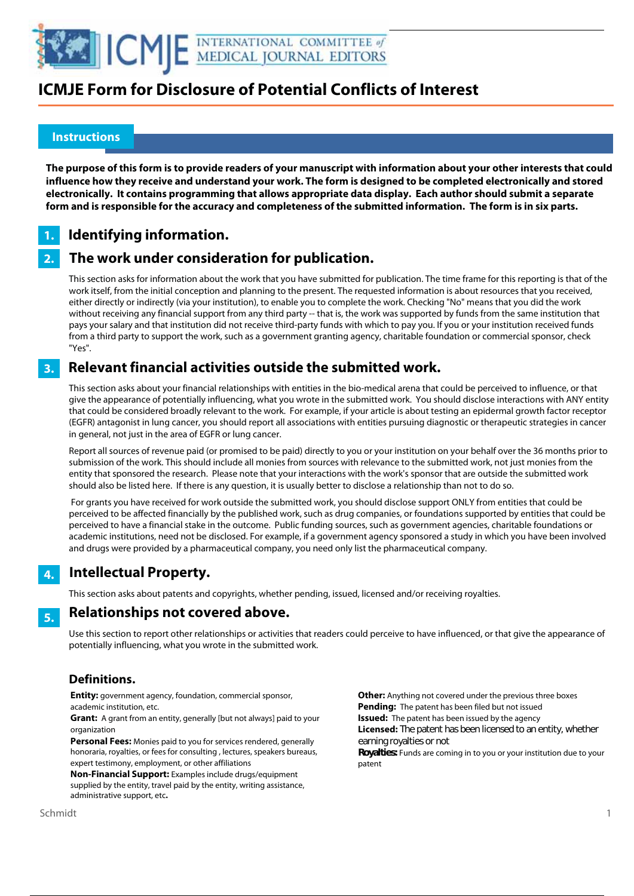

### **Instructions**

**The purpose of this form is to provide readers of your manuscript with information about your other interests that could influence how they receive and understand your work. The form is designed to be completed electronically and stored electronically. It contains programming that allows appropriate data display. Each author should submit a separate form and is responsible for the accuracy and completeness of the submitted information. The form is in six parts.** 

#### **Identifying information. 1.**

#### **The work under consideration for publication. 2.**

This section asks for information about the work that you have submitted for publication. The time frame for this reporting is that of the work itself, from the initial conception and planning to the present. The requested information is about resources that you received, either directly or indirectly (via your institution), to enable you to complete the work. Checking "No" means that you did the work without receiving any financial support from any third party -- that is, the work was supported by funds from the same institution that pays your salary and that institution did not receive third-party funds with which to pay you. If you or your institution received funds from a third party to support the work, such as a government granting agency, charitable foundation or commercial sponsor, check "Yes".

#### **Relevant financial activities outside the submitted work. 3.**

This section asks about your financial relationships with entities in the bio-medical arena that could be perceived to influence, or that give the appearance of potentially influencing, what you wrote in the submitted work. You should disclose interactions with ANY entity that could be considered broadly relevant to the work. For example, if your article is about testing an epidermal growth factor receptor (EGFR) antagonist in lung cancer, you should report all associations with entities pursuing diagnostic or therapeutic strategies in cancer in general, not just in the area of EGFR or lung cancer.

Report all sources of revenue paid (or promised to be paid) directly to you or your institution on your behalf over the 36 months prior to submission of the work. This should include all monies from sources with relevance to the submitted work, not just monies from the entity that sponsored the research. Please note that your interactions with the work's sponsor that are outside the submitted work should also be listed here. If there is any question, it is usually better to disclose a relationship than not to do so.

 For grants you have received for work outside the submitted work, you should disclose support ONLY from entities that could be perceived to be affected financially by the published work, such as drug companies, or foundations supported by entities that could be perceived to have a financial stake in the outcome. Public funding sources, such as government agencies, charitable foundations or academic institutions, need not be disclosed. For example, if a government agency sponsored a study in which you have been involved and drugs were provided by a pharmaceutical company, you need only list the pharmaceutical company.

#### **Intellectual Property. 4.**

This section asks about patents and copyrights, whether pending, issued, licensed and/or receiving royalties.

#### **Relationships not covered above. 5.**

Use this section to report other relationships or activities that readers could perceive to have influenced, or that give the appearance of potentially influencing, what you wrote in the submitted work.

### **Definitions.**

**Entity:** government agency, foundation, commercial sponsor, academic institution, etc.

**Grant:** A grant from an entity, generally [but not always] paid to your organization

**Personal Fees:** Monies paid to you for services rendered, generally honoraria, royalties, or fees for consulting , lectures, speakers bureaus, expert testimony, employment, or other affiliations

**Non-Financial Support:** Examples include drugs/equipment supplied by the entity, travel paid by the entity, writing assistance, administrative support, etc**.**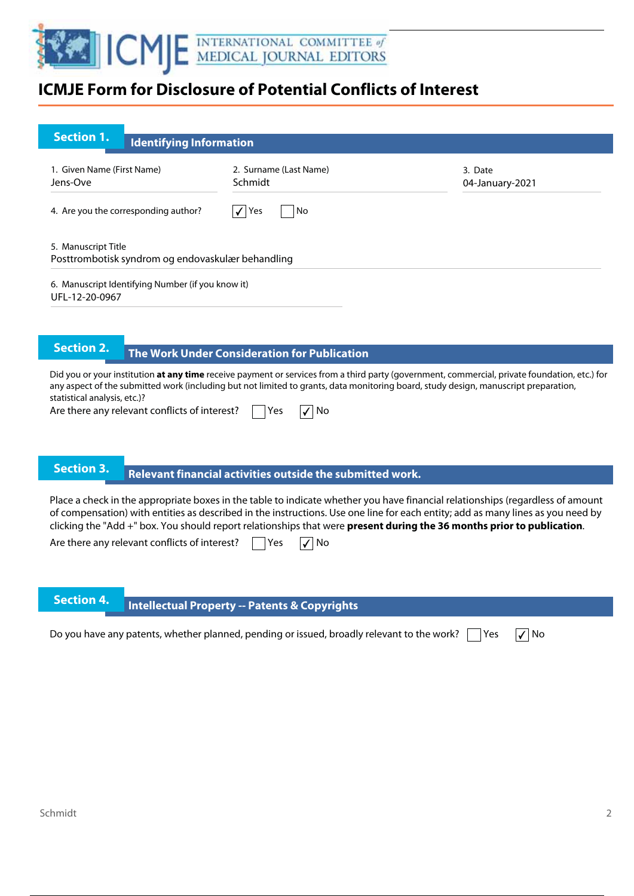

| <b>Section 1.</b>                      | <b>Identifying Information</b>                    |                                     |                            |
|----------------------------------------|---------------------------------------------------|-------------------------------------|----------------------------|
| 1. Given Name (First Name)<br>Jens-Ove |                                                   | 2. Surname (Last Name)<br>Schmidt   | 3. Date<br>04-January-2021 |
|                                        | 4. Are you the corresponding author?              | $\sqrt{\vert \gamma \vert}$<br>l No |                            |
| 5. Manuscript Title                    | Posttrombotisk syndrom og endovaskulær behandling |                                     |                            |
|                                        | 6. Manuscript Identifying Number (if you know it) |                                     |                            |

## **The Work Under Consideration for Publication**

Did you or your institution **at any time** receive payment or services from a third party (government, commercial, private foundation, etc.) for any aspect of the submitted work (including but not limited to grants, data monitoring board, study design, manuscript preparation, statistical analysis, etc.)?

|  | Are there any relevant conflicts of interest? | l Yes | $ \boldsymbol{\sqrt} $ No |  |
|--|-----------------------------------------------|-------|---------------------------|--|
|--|-----------------------------------------------|-------|---------------------------|--|

### **Relevant financial activities outside the submitted work. Section 3. Relevant financial activities outside the submitted work.**

Place a check in the appropriate boxes in the table to indicate whether you have financial relationships (regardless of amount of compensation) with entities as described in the instructions. Use one line for each entity; add as many lines as you need by clicking the "Add +" box. You should report relationships that were **present during the 36 months prior to publication**.

Are there any relevant conflicts of interest?  $\Box$  Yes  $\Box$  No

| Do you have any patents, whether planned, pending or issued, broadly relevant to the work? $\Box$ Yes $\Box$ No |  |  |  |  |  |
|-----------------------------------------------------------------------------------------------------------------|--|--|--|--|--|
|-----------------------------------------------------------------------------------------------------------------|--|--|--|--|--|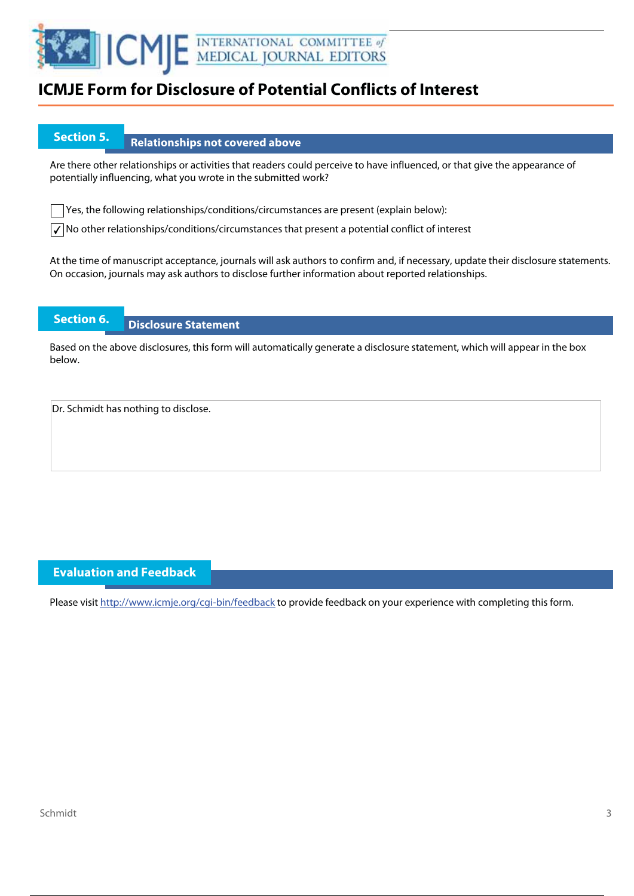

### **Section 5.** Relationships not covered above

Are there other relationships or activities that readers could perceive to have influenced, or that give the appearance of potentially influencing, what you wrote in the submitted work?

Yes, the following relationships/conditions/circumstances are present (explain below):

 $\sqrt{\sqrt{}}$  No other relationships/conditions/circumstances that present a potential conflict of interest

At the time of manuscript acceptance, journals will ask authors to confirm and, if necessary, update their disclosure statements. On occasion, journals may ask authors to disclose further information about reported relationships.

### **Section 6. Disclosure Statement**

Based on the above disclosures, this form will automatically generate a disclosure statement, which will appear in the box below.

Dr. Schmidt has nothing to disclose.

### **Evaluation and Feedback**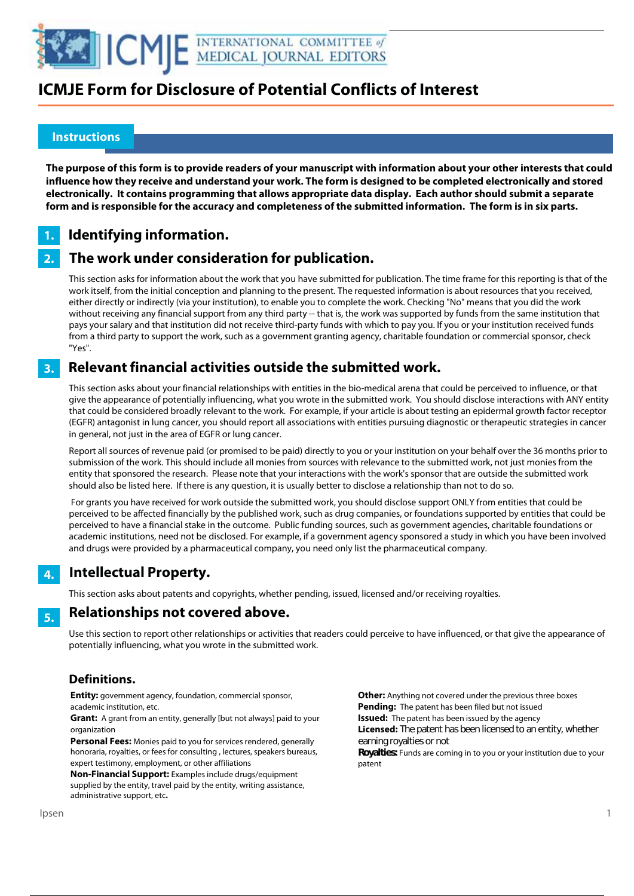

### **Instructions**

**The purpose of this form is to provide readers of your manuscript with information about your other interests that could influence how they receive and understand your work. The form is designed to be completed electronically and stored electronically. It contains programming that allows appropriate data display. Each author should submit a separate form and is responsible for the accuracy and completeness of the submitted information. The form is in six parts.** 

#### **Identifying information. 1.**

#### **The work under consideration for publication. 2.**

This section asks for information about the work that you have submitted for publication. The time frame for this reporting is that of the work itself, from the initial conception and planning to the present. The requested information is about resources that you received, either directly or indirectly (via your institution), to enable you to complete the work. Checking "No" means that you did the work without receiving any financial support from any third party -- that is, the work was supported by funds from the same institution that pays your salary and that institution did not receive third-party funds with which to pay you. If you or your institution received funds from a third party to support the work, such as a government granting agency, charitable foundation or commercial sponsor, check "Yes".

#### **Relevant financial activities outside the submitted work. 3.**

This section asks about your financial relationships with entities in the bio-medical arena that could be perceived to influence, or that give the appearance of potentially influencing, what you wrote in the submitted work. You should disclose interactions with ANY entity that could be considered broadly relevant to the work. For example, if your article is about testing an epidermal growth factor receptor (EGFR) antagonist in lung cancer, you should report all associations with entities pursuing diagnostic or therapeutic strategies in cancer in general, not just in the area of EGFR or lung cancer.

Report all sources of revenue paid (or promised to be paid) directly to you or your institution on your behalf over the 36 months prior to submission of the work. This should include all monies from sources with relevance to the submitted work, not just monies from the entity that sponsored the research. Please note that your interactions with the work's sponsor that are outside the submitted work should also be listed here. If there is any question, it is usually better to disclose a relationship than not to do so.

 For grants you have received for work outside the submitted work, you should disclose support ONLY from entities that could be perceived to be affected financially by the published work, such as drug companies, or foundations supported by entities that could be perceived to have a financial stake in the outcome. Public funding sources, such as government agencies, charitable foundations or academic institutions, need not be disclosed. For example, if a government agency sponsored a study in which you have been involved and drugs were provided by a pharmaceutical company, you need only list the pharmaceutical company.

#### **Intellectual Property. 4.**

This section asks about patents and copyrights, whether pending, issued, licensed and/or receiving royalties.

#### **Relationships not covered above. 5.**

Use this section to report other relationships or activities that readers could perceive to have influenced, or that give the appearance of potentially influencing, what you wrote in the submitted work.

### **Definitions.**

**Entity:** government agency, foundation, commercial sponsor, academic institution, etc.

**Grant:** A grant from an entity, generally [but not always] paid to your organization

**Personal Fees:** Monies paid to you for services rendered, generally honoraria, royalties, or fees for consulting , lectures, speakers bureaus, expert testimony, employment, or other affiliations

**Non-Financial Support:** Examples include drugs/equipment supplied by the entity, travel paid by the entity, writing assistance, administrative support, etc**.**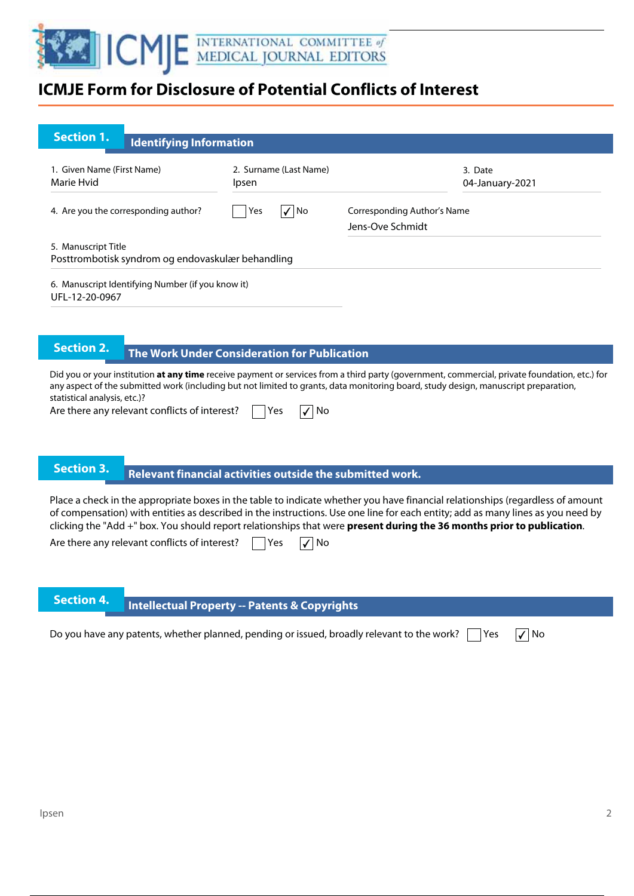

| 1. Given Name (First Name)<br>Marie Hvid |                                                   | 2. Surname (Last Name)<br>Ipsen | 3. Date                                         | 04-January-2021 |
|------------------------------------------|---------------------------------------------------|---------------------------------|-------------------------------------------------|-----------------|
| 4. Are you the corresponding author?     |                                                   | $\sqrt{ N}$<br>Yes              | Corresponding Author's Name<br>Jens-Ove Schmidt |                 |
| 5. Manuscript Title                      | Posttrombotisk syndrom og endovaskulær behandling |                                 |                                                 |                 |

## **The Work Under Consideration for Publication**

Did you or your institution **at any time** receive payment or services from a third party (government, commercial, private foundation, etc.) for any aspect of the submitted work (including but not limited to grants, data monitoring board, study design, manuscript preparation, statistical analysis, etc.)?

| Are there any relevant conflicts of interest? | <b>Yes</b> | ∣√∣No |
|-----------------------------------------------|------------|-------|
|                                               |            |       |

### **Relevant financial activities outside the submitted work. Section 3. Relevant financial activities outside the submitted work.**

Place a check in the appropriate boxes in the table to indicate whether you have financial relationships (regardless of amount of compensation) with entities as described in the instructions. Use one line for each entity; add as many lines as you need by clicking the "Add +" box. You should report relationships that were **present during the 36 months prior to publication**.

Are there any relevant conflicts of interest?  $\Box$  Yes  $\Box$  No

|  | Do you have any patents, whether planned, pending or issued, broadly relevant to the work? $\Box$ Yes $\Box$ No |  |  |  |  |  |
|--|-----------------------------------------------------------------------------------------------------------------|--|--|--|--|--|
|--|-----------------------------------------------------------------------------------------------------------------|--|--|--|--|--|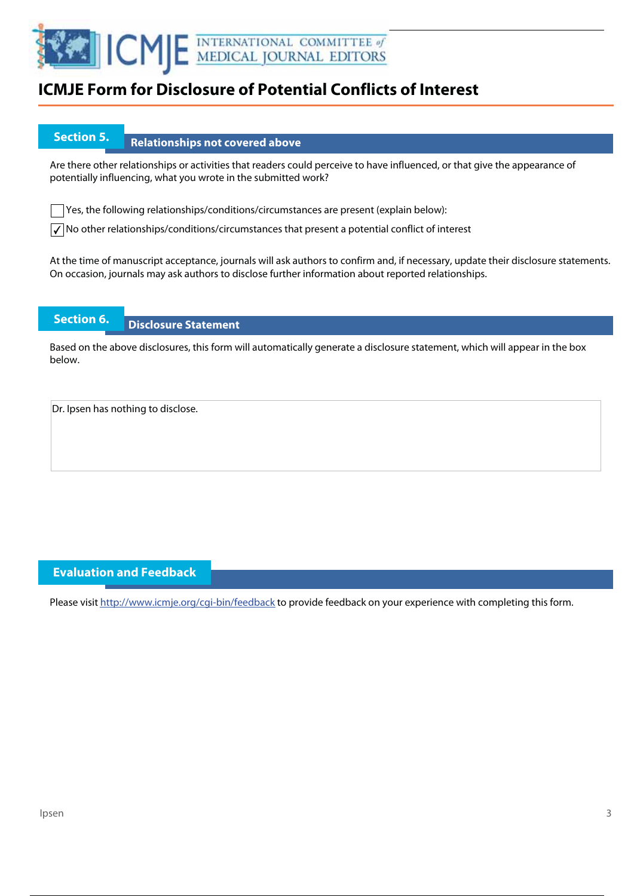

### **Section 5.** Relationships not covered above

Are there other relationships or activities that readers could perceive to have influenced, or that give the appearance of potentially influencing, what you wrote in the submitted work?

Yes, the following relationships/conditions/circumstances are present (explain below):

 $\sqrt{\sqrt{}}$  No other relationships/conditions/circumstances that present a potential conflict of interest

At the time of manuscript acceptance, journals will ask authors to confirm and, if necessary, update their disclosure statements. On occasion, journals may ask authors to disclose further information about reported relationships.

### **Section 6. Disclosure Statement**

Based on the above disclosures, this form will automatically generate a disclosure statement, which will appear in the box below.

Dr. Ipsen has nothing to disclose.

### **Evaluation and Feedback**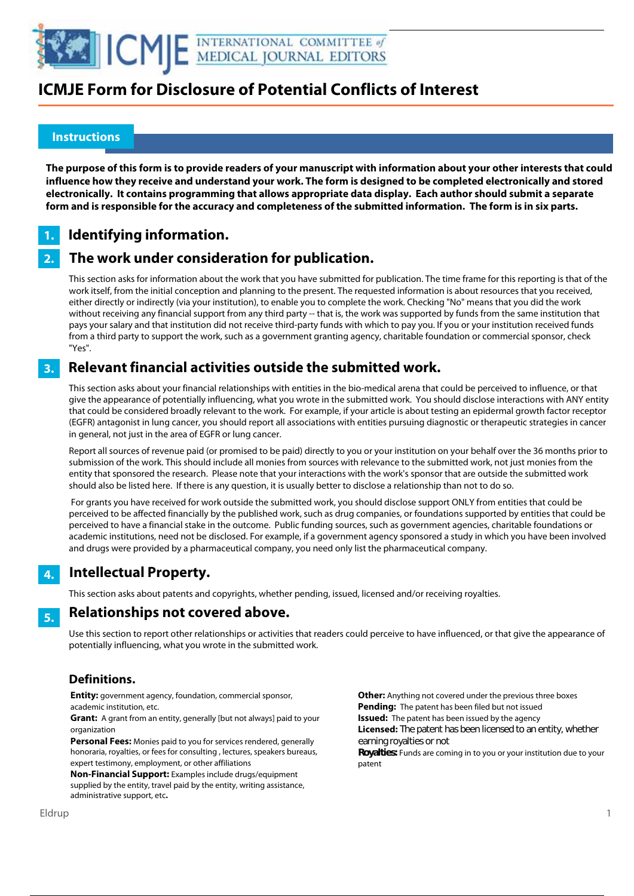

### **Instructions**

**The purpose of this form is to provide readers of your manuscript with information about your other interests that could influence how they receive and understand your work. The form is designed to be completed electronically and stored electronically. It contains programming that allows appropriate data display. Each author should submit a separate form and is responsible for the accuracy and completeness of the submitted information. The form is in six parts.** 

#### **Identifying information. 1.**

#### **The work under consideration for publication. 2.**

This section asks for information about the work that you have submitted for publication. The time frame for this reporting is that of the work itself, from the initial conception and planning to the present. The requested information is about resources that you received, either directly or indirectly (via your institution), to enable you to complete the work. Checking "No" means that you did the work without receiving any financial support from any third party -- that is, the work was supported by funds from the same institution that pays your salary and that institution did not receive third-party funds with which to pay you. If you or your institution received funds from a third party to support the work, such as a government granting agency, charitable foundation or commercial sponsor, check "Yes".

#### **Relevant financial activities outside the submitted work. 3.**

This section asks about your financial relationships with entities in the bio-medical arena that could be perceived to influence, or that give the appearance of potentially influencing, what you wrote in the submitted work. You should disclose interactions with ANY entity that could be considered broadly relevant to the work. For example, if your article is about testing an epidermal growth factor receptor (EGFR) antagonist in lung cancer, you should report all associations with entities pursuing diagnostic or therapeutic strategies in cancer in general, not just in the area of EGFR or lung cancer.

Report all sources of revenue paid (or promised to be paid) directly to you or your institution on your behalf over the 36 months prior to submission of the work. This should include all monies from sources with relevance to the submitted work, not just monies from the entity that sponsored the research. Please note that your interactions with the work's sponsor that are outside the submitted work should also be listed here. If there is any question, it is usually better to disclose a relationship than not to do so.

 For grants you have received for work outside the submitted work, you should disclose support ONLY from entities that could be perceived to be affected financially by the published work, such as drug companies, or foundations supported by entities that could be perceived to have a financial stake in the outcome. Public funding sources, such as government agencies, charitable foundations or academic institutions, need not be disclosed. For example, if a government agency sponsored a study in which you have been involved and drugs were provided by a pharmaceutical company, you need only list the pharmaceutical company.

#### **Intellectual Property. 4.**

This section asks about patents and copyrights, whether pending, issued, licensed and/or receiving royalties.

#### **Relationships not covered above. 5.**

Use this section to report other relationships or activities that readers could perceive to have influenced, or that give the appearance of potentially influencing, what you wrote in the submitted work.

### **Definitions.**

**Entity:** government agency, foundation, commercial sponsor, academic institution, etc.

**Grant:** A grant from an entity, generally [but not always] paid to your organization

**Personal Fees:** Monies paid to you for services rendered, generally honoraria, royalties, or fees for consulting , lectures, speakers bureaus, expert testimony, employment, or other affiliations

**Non-Financial Support:** Examples include drugs/equipment supplied by the entity, travel paid by the entity, writing assistance, administrative support, etc**.**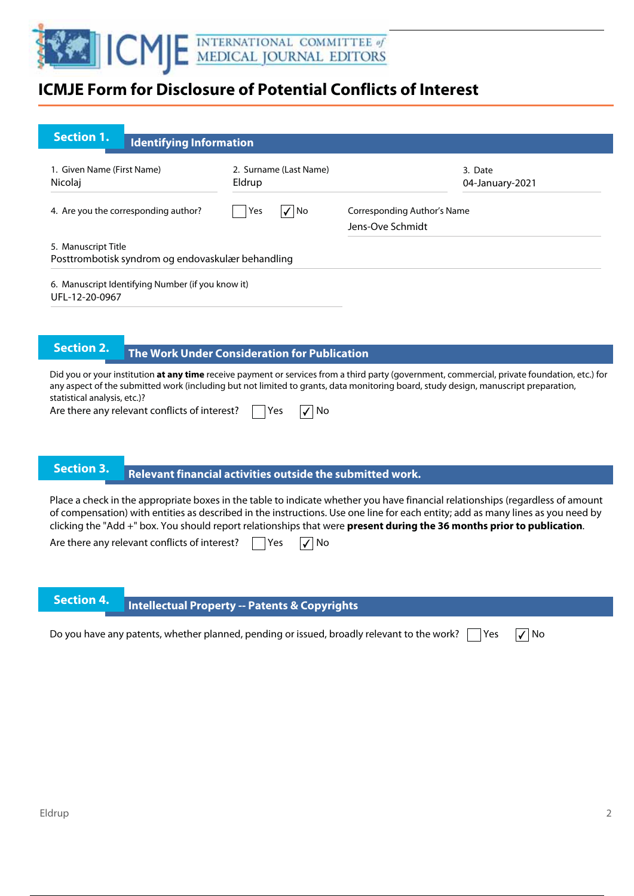

| <b>Section 1.</b>                     | <b>Identifying Information</b>                    |                                  |                                                 |
|---------------------------------------|---------------------------------------------------|----------------------------------|-------------------------------------------------|
| 1. Given Name (First Name)<br>Nicolaj |                                                   | 2. Surname (Last Name)<br>Eldrup | 3. Date<br>04-January-2021                      |
| 4. Are you the corresponding author?  |                                                   | $\sqrt{ N_0 }$<br>Yes            | Corresponding Author's Name<br>Jens-Ove Schmidt |
| 5. Manuscript Title                   | Posttrombotisk syndrom og endovaskulær behandling |                                  |                                                 |
| UFL-12-20-0967                        | 6. Manuscript Identifying Number (if you know it) |                                  |                                                 |

## **The Work Under Consideration for Publication**

Did you or your institution **at any time** receive payment or services from a third party (government, commercial, private foundation, etc.) for any aspect of the submitted work (including but not limited to grants, data monitoring board, study design, manuscript preparation, statistical analysis, etc.)?

| Are there any relevant conflicts of interest? | <b>Yes</b> | ∣√∣No |
|-----------------------------------------------|------------|-------|
|                                               |            |       |

### **Relevant financial activities outside the submitted work. Section 3. Relevant financial activities outside the submitted work.**

Place a check in the appropriate boxes in the table to indicate whether you have financial relationships (regardless of amount of compensation) with entities as described in the instructions. Use one line for each entity; add as many lines as you need by clicking the "Add +" box. You should report relationships that were **present during the 36 months prior to publication**.

Are there any relevant conflicts of interest?  $\Box$  Yes  $\Box$  No

| Do you have any patents, whether planned, pending or issued, broadly relevant to the work? $\Box$ Yes $\Box$ No |  |  |  |  |  |
|-----------------------------------------------------------------------------------------------------------------|--|--|--|--|--|
|-----------------------------------------------------------------------------------------------------------------|--|--|--|--|--|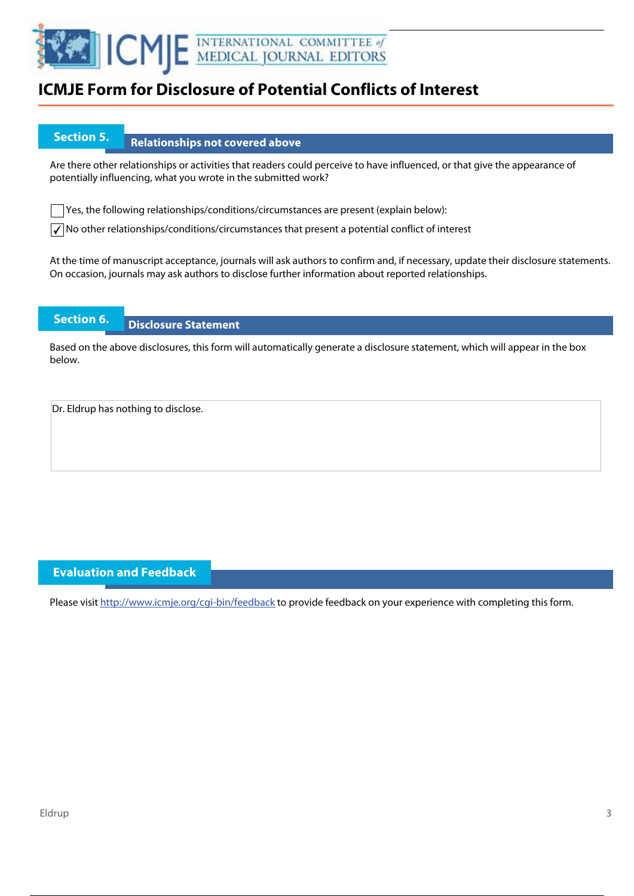

### **Section 5.** Relationships not covered above

Are there other relationships or activities that readers could perceive to have influenced, or that give the appearance of potentially influencing, what you wrote in the submitted work?

Yes, the following relationships/conditions/circumstances are present (explain below):

 $\sqrt{\sqrt{}}$  No other relationships/conditions/circumstances that present a potential conflict of interest

At the time of manuscript acceptance, journals will ask authors to confirm and, if necessary, update their disclosure statements. On occasion, journals may ask authors to disclose further information about reported relationships.

### **Section 6. Disclosure Statement**

Based on the above disclosures, this form will automatically generate a disclosure statement, which will appear in the box below.

Dr. Eldrup has nothing to disclose.

### **Evaluation and Feedback**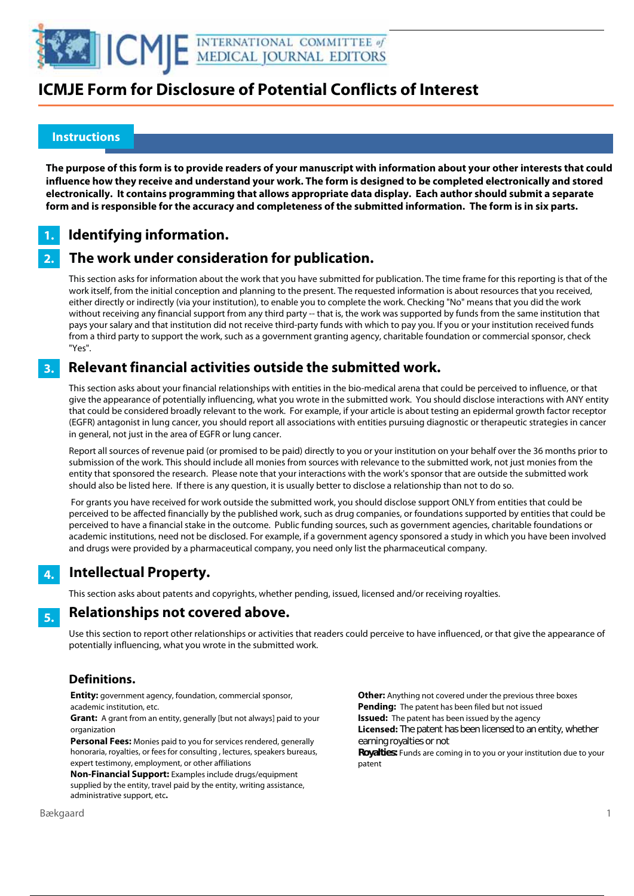

### **Instructions**

**The purpose of this form is to provide readers of your manuscript with information about your other interests that could influence how they receive and understand your work. The form is designed to be completed electronically and stored electronically. It contains programming that allows appropriate data display. Each author should submit a separate form and is responsible for the accuracy and completeness of the submitted information. The form is in six parts.** 

#### **Identifying information. 1.**

#### **The work under consideration for publication. 2.**

This section asks for information about the work that you have submitted for publication. The time frame for this reporting is that of the work itself, from the initial conception and planning to the present. The requested information is about resources that you received, either directly or indirectly (via your institution), to enable you to complete the work. Checking "No" means that you did the work without receiving any financial support from any third party -- that is, the work was supported by funds from the same institution that pays your salary and that institution did not receive third-party funds with which to pay you. If you or your institution received funds from a third party to support the work, such as a government granting agency, charitable foundation or commercial sponsor, check "Yes".

#### **Relevant financial activities outside the submitted work. 3.**

This section asks about your financial relationships with entities in the bio-medical arena that could be perceived to influence, or that give the appearance of potentially influencing, what you wrote in the submitted work. You should disclose interactions with ANY entity that could be considered broadly relevant to the work. For example, if your article is about testing an epidermal growth factor receptor (EGFR) antagonist in lung cancer, you should report all associations with entities pursuing diagnostic or therapeutic strategies in cancer in general, not just in the area of EGFR or lung cancer.

Report all sources of revenue paid (or promised to be paid) directly to you or your institution on your behalf over the 36 months prior to submission of the work. This should include all monies from sources with relevance to the submitted work, not just monies from the entity that sponsored the research. Please note that your interactions with the work's sponsor that are outside the submitted work should also be listed here. If there is any question, it is usually better to disclose a relationship than not to do so.

 For grants you have received for work outside the submitted work, you should disclose support ONLY from entities that could be perceived to be affected financially by the published work, such as drug companies, or foundations supported by entities that could be perceived to have a financial stake in the outcome. Public funding sources, such as government agencies, charitable foundations or academic institutions, need not be disclosed. For example, if a government agency sponsored a study in which you have been involved and drugs were provided by a pharmaceutical company, you need only list the pharmaceutical company.

#### **Intellectual Property. 4.**

This section asks about patents and copyrights, whether pending, issued, licensed and/or receiving royalties.

#### **Relationships not covered above. 5.**

Use this section to report other relationships or activities that readers could perceive to have influenced, or that give the appearance of potentially influencing, what you wrote in the submitted work.

### **Definitions.**

**Entity:** government agency, foundation, commercial sponsor, academic institution, etc.

**Grant:** A grant from an entity, generally [but not always] paid to your organization

**Personal Fees:** Monies paid to you for services rendered, generally honoraria, royalties, or fees for consulting , lectures, speakers bureaus, expert testimony, employment, or other affiliations

**Non-Financial Support:** Examples include drugs/equipment supplied by the entity, travel paid by the entity, writing assistance, administrative support, etc**.**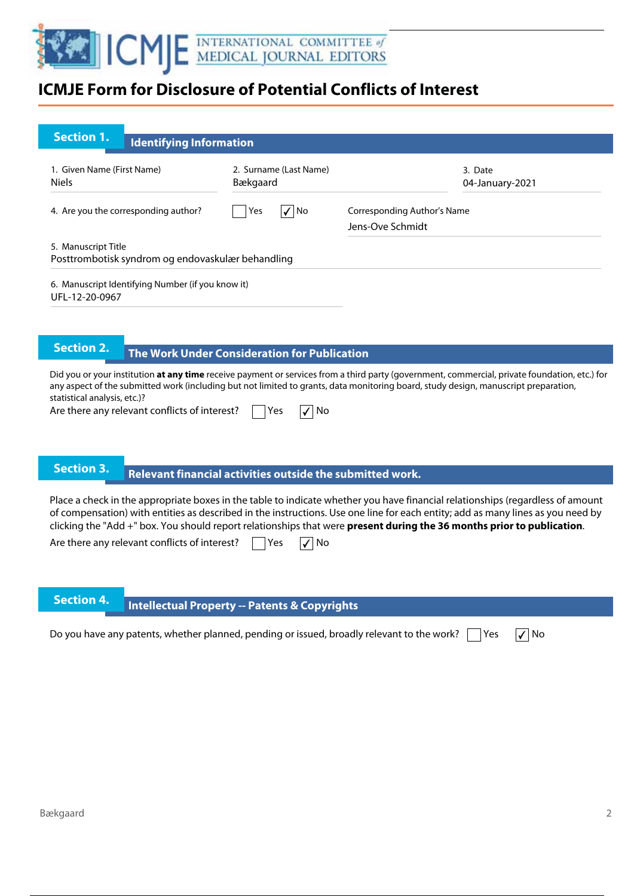

| <b>Section 1.</b>                          | <b>Identifying Information</b>                    |                                    |                                                 |
|--------------------------------------------|---------------------------------------------------|------------------------------------|-------------------------------------------------|
| 1. Given Name (First Name)<br><b>Niels</b> |                                                   | 2. Surname (Last Name)<br>Bækgaard | 3. Date<br>04-January-2021                      |
| 4. Are you the corresponding author?       |                                                   | $\sqrt{ N}$<br>Yes                 | Corresponding Author's Name<br>Jens-Ove Schmidt |
| 5. Manuscript Title                        | Posttrombotisk syndrom og endovaskulær behandling |                                    |                                                 |
| UFL-12-20-0967                             | 6. Manuscript Identifying Number (if you know it) |                                    |                                                 |

## **The Work Under Consideration for Publication**

Did you or your institution **at any time** receive payment or services from a third party (government, commercial, private foundation, etc.) for any aspect of the submitted work (including but not limited to grants, data monitoring board, study design, manuscript preparation, statistical analysis, etc.)?

 $\sqrt{}$  No

|  |  | Are there any relevant conflicts of interest? |  |  |  | l Ye |
|--|--|-----------------------------------------------|--|--|--|------|
|--|--|-----------------------------------------------|--|--|--|------|

### **Relevant financial activities outside the submitted work. Section 3. Relevant financial activities outside the submitted work.**

Place a check in the appropriate boxes in the table to indicate whether you have financial relationships (regardless of amount of compensation) with entities as described in the instructions. Use one line for each entity; add as many lines as you need by clicking the "Add +" box. You should report relationships that were **present during the 36 months prior to publication**.

Are there any relevant conflicts of interest?  $\Box$  Yes  $\Box$  No

| Do you have any patents, whether planned, pending or issued, broadly relevant to the work? $\Box$ Yes $\Box$ No |  |  |
|-----------------------------------------------------------------------------------------------------------------|--|--|
|                                                                                                                 |  |  |
|                                                                                                                 |  |  |